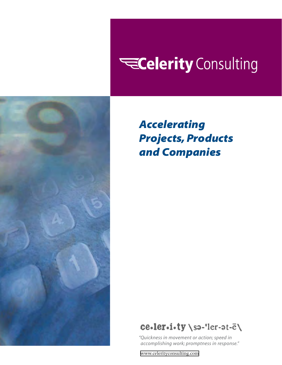# **ECelerity** Consulting



*Accelerating Projects, Products and Companies*

# ce.ler.i.ty \sa-'ler-at-e\

*"Quickness in movement or action; speed in accomplishing work; promptness in response."*

[www.celerityconsulting.com](http://www.celerityconsulting.com)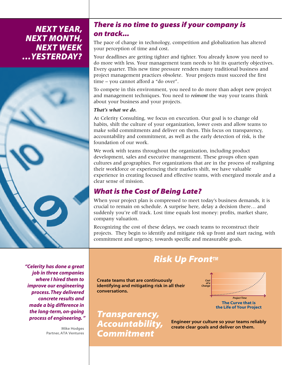## *Next Year, Next Month, Next Week …Yesterday?*



## *There is no time to guess if your company is on track...*

The pace of change in technology, competition and globalization has altered your perception of time and cost.

Your deadlines are getting tighter and tighter. You already know you need to do more with less. Your management team needs to hit its quarterly objectives. Every quarter. This new time pressure renders many traditional business and project management practices obsolete. Your projects must succeed the first time – you cannot afford a "do over".

To compete in this environment, you need to do more than adopt new project and management techniques. You need to *reinvent* the way your teams think about your business and your projects.

### *That's what we do.*

At Celerity Consulting, we focus on execution. Our goal is to change old habits, shift the culture of your organization, lower costs and allow teams to make solid commitments and deliver on them. This focus on transparency, accountability and commitment, as well as the early detection of risk, is the foundation of our work.

We work with teams throughout the organization, including product development, sales and executive management. These groups often span cultures and geographies. For organizations that are in the process of realigning their workforce or experiencing their markets shift, we have valuable experience in creating focused and effective teams, with energized morale and a clear sense of mission.

## *What is the Cost of Being Late?*

When your project plan is compressed to meet today's business demands, it is crucial to remain on schedule. A surprise here, delay a decision there… and suddenly you're off track. Lost time equals lost money: profits, market share, company valuation.

Recognizing the cost of these delays, we coach teams to reconstruct their projects. They begin to identify and mitigate risk up front and start racing, with commitment and urgency, towards specific and measurable goals.

*"Celerity has done a great job in three companies where I hired them to improve our engineering process. They delivered concrete results and made a big difference in the long-term, on-going process of engineering. "*

> Mike Hodges Partner, ATA Ventures

## **Risk Up Front™**

Create teams that are continuously identifying and mitigating risk in all their conversations.



Engineer your culture so your teams reliably create clear goals and deliver on them.

*Transparency, Accountability, Commitment*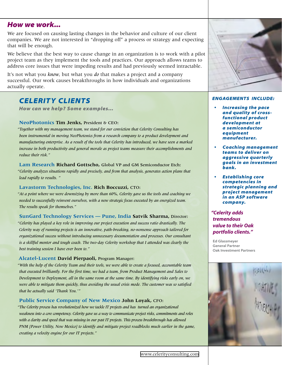## *How we work...*

We are focused on causing lasting changes in the behavior and culture of our client companies. We are not interested in "dropping off" a process or strategy and expecting that will be enough.

We believe that the best way to cause change in an organization is to work with a pilot project team as they implement the tools and practices. Our approach allows teams to address core issues that were impeding results and had previously seemed intractable.

It's not what you *know*, but what you *do* that makes a project and a company successful. Our work causes breakthroughs in how individuals and organizations actually operate.

## *CELERITY Clients*

*How can we help? Some examples…*

#### **NeoPhotonics Tim Jenks,** President & CEO:

*"Together with my management team, we stand for our conviction that Celerity Consulting has been instrumental in moving NeoPhotonics from a research company to a product development and manufacturing enterprise. As a result of the tools that Celerity has introduced, we have seen a marked increase in both productivity and general morale as project teams measure their accomplishments and reduce their risk."*

**Lam Research Richard Gottscho,** Global VP and GM Semiconductor Etch: *"Celerity analyzes situations rapidly and precisely, and from that analysis, generates action plans that lead rapidly to results. "*

#### **Lavastorm Technologies, Inc. Rich Boccuzzi,** CTO:

*"At a point where we were downsizing by more than 60%, Celerity gave us the tools and coaching we needed to successfully reinvent ourselves, with a new strategic focus executed by an energized team. The results speak for themselves."*

**SunGard Technology Services — Pune, India Satvik Sharma,** Director: *"Celerity has played a key role in improving our project execution and success ratio drastically. The Celerity way of running projects is an innovative, path-breaking, no-nonsense approach tailored for organizational success without introducing unnecessary documentation and processes. Our consultant is a skillful mentor and tough coach. The two-day Celerity workshop that I attended was clearly the best training session I have ever been to."*

#### **Alcatel-Lucent David Pierpaoli,** Program Manager:

*"With the help of the Celerity Team and their tools, we were able to create a focused, accountable team that executed brilliantly. For the first time, we had a team, from Product Management and Sales to Development to Deployment, all in the same room at the same time. By identifying risks early on, we were able to mitigate them quickly, thus avoiding the usual crisis mode. The customer was so satisfied that he actually said 'Thank You.'"*

#### **Public Service Company of New Mexico John Loyak,** CFO:

*"The Celerity process has revolutionized how we tackle IT projects and has turned an organizational weakness into a core competency. Celerity gave us a way to communicate project risks, commitments and roles with a clarity and speed that was missing in our past IT projects. This process breakthrough has allowed PNM [Power Utility, New Mexico] to identify and mitigate project roadblocks much earlier in the game, creating a velocity engine for our IT projects."*



#### *Engagements include:*

- **Increasing the pace** *and quality of crossfunctional product development at a semiconductor equipment manufacturer.*
- • *Coaching management teams to deliver on aggressive quarterly goals in an investment bank.*
- **Establishing core** *competencies in strategic planning and project management in an ASP software company.*

## *"Celerity adds tremendous value to their Oak portfolio clients."*

Ed Glassmeyer General Partner Oak Investment Partners